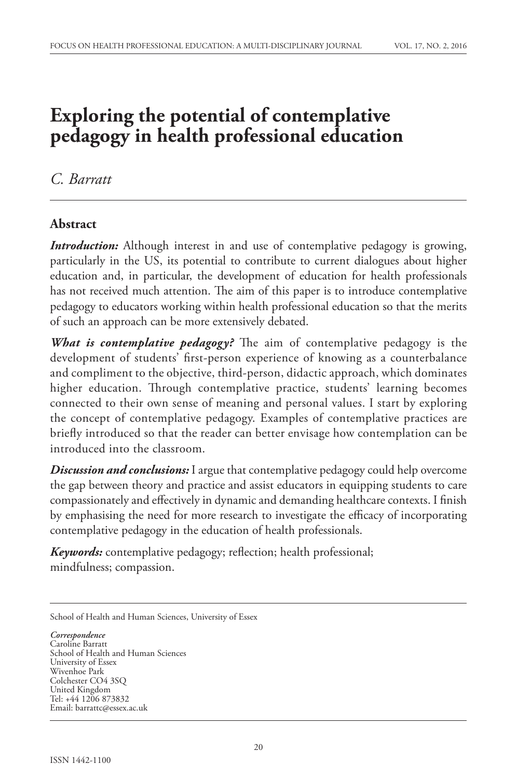# **Exploring the potential of contemplative pedagogy in health professional education**

## *C. Barratt*

### **Abstract**

*Introduction:* Although interest in and use of contemplative pedagogy is growing, particularly in the US, its potential to contribute to current dialogues about higher education and, in particular, the development of education for health professionals has not received much attention. The aim of this paper is to introduce contemplative pedagogy to educators working within health professional education so that the merits of such an approach can be more extensively debated.

*What is contemplative pedagogy?* The aim of contemplative pedagogy is the development of students' first-person experience of knowing as a counterbalance and compliment to the objective, third-person, didactic approach, which dominates higher education. Through contemplative practice, students' learning becomes connected to their own sense of meaning and personal values. I start by exploring the concept of contemplative pedagogy. Examples of contemplative practices are briefly introduced so that the reader can better envisage how contemplation can be introduced into the classroom.

*Discussion and conclusions:* I argue that contemplative pedagogy could help overcome the gap between theory and practice and assist educators in equipping students to care compassionately and effectively in dynamic and demanding healthcare contexts. I finish by emphasising the need for more research to investigate the efficacy of incorporating contemplative pedagogy in the education of health professionals.

*Keywords:* contemplative pedagogy; reflection; health professional; mindfulness; compassion.

School of Health and Human Sciences, University of Essex

*Correspondence* Caroline Barratt School of Health and Human Sciences University of Essex Wivenhoe Park Colchester CO4 3SQ United Kingdom Tel: +44 1206 873832 Email: barrattc@essex.ac.uk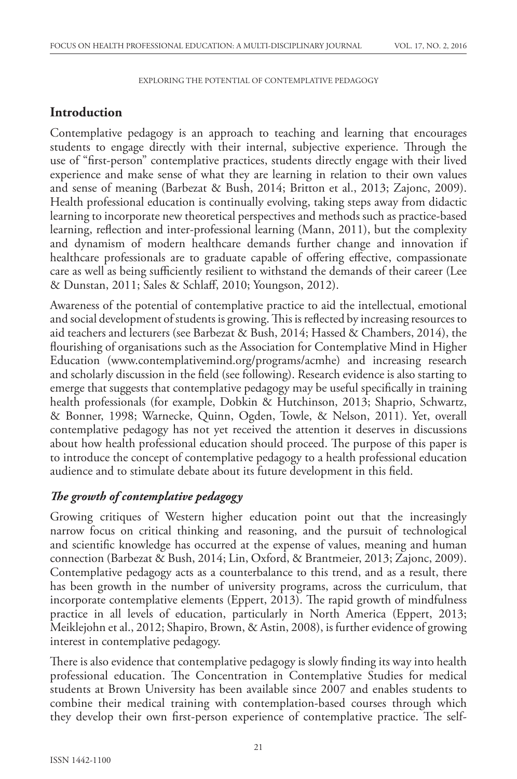### **Introduction**

Contemplative pedagogy is an approach to teaching and learning that encourages students to engage directly with their internal, subjective experience. Through the use of "first-person" contemplative practices, students directly engage with their lived experience and make sense of what they are learning in relation to their own values and sense of meaning (Barbezat & Bush, 2014; Britton et al., 2013; Zajonc, 2009). Health professional education is continually evolving, taking steps away from didactic learning to incorporate new theoretical perspectives and methods such as practice-based learning, reflection and inter-professional learning (Mann, 2011), but the complexity and dynamism of modern healthcare demands further change and innovation if healthcare professionals are to graduate capable of offering effective, compassionate care as well as being sufficiently resilient to withstand the demands of their career (Lee & Dunstan, 2011; Sales & Schlaff, 2010; Youngson, 2012).

Awareness of the potential of contemplative practice to aid the intellectual, emotional and social development of students is growing. This is reflected by increasing resources to aid teachers and lecturers (see Barbezat & Bush, 2014; Hassed & Chambers, 2014), the flourishing of organisations such as the Association for Contemplative Mind in Higher Education (www.contemplativemind.org/programs/acmhe) and increasing research and scholarly discussion in the field (see following). Research evidence is also starting to emerge that suggests that contemplative pedagogy may be useful specifically in training health professionals (for example, Dobkin & Hutchinson, 2013; Shaprio, Schwartz, & Bonner, 1998; Warnecke, Quinn, Ogden, Towle, & Nelson, 2011). Yet, overall contemplative pedagogy has not yet received the attention it deserves in discussions about how health professional education should proceed. The purpose of this paper is to introduce the concept of contemplative pedagogy to a health professional education audience and to stimulate debate about its future development in this field.

### *The growth of contemplative pedagogy*

Growing critiques of Western higher education point out that the increasingly narrow focus on critical thinking and reasoning, and the pursuit of technological and scientific knowledge has occurred at the expense of values, meaning and human connection (Barbezat & Bush, 2014; Lin, Oxford, & Brantmeier, 2013; Zajonc, 2009). Contemplative pedagogy acts as a counterbalance to this trend, and as a result, there has been growth in the number of university programs, across the curriculum, that incorporate contemplative elements (Eppert, 2013). The rapid growth of mindfulness practice in all levels of education, particularly in North America (Eppert, 2013; Meiklejohn et al., 2012; Shapiro, Brown, & Astin, 2008), is further evidence of growing interest in contemplative pedagogy.

There is also evidence that contemplative pedagogy is slowly finding its way into health professional education. The Concentration in Contemplative Studies for medical students at Brown University has been available since 2007 and enables students to combine their medical training with contemplation-based courses through which they develop their own first-person experience of contemplative practice. The self-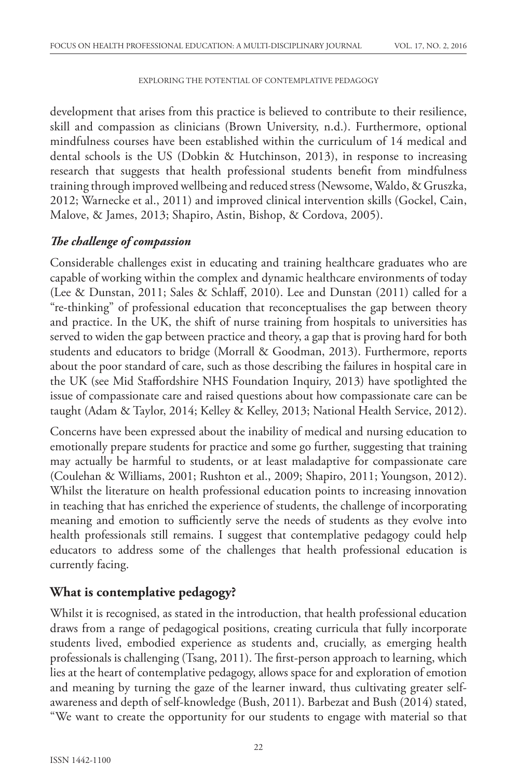development that arises from this practice is believed to contribute to their resilience, skill and compassion as clinicians (Brown University, n.d.). Furthermore, optional mindfulness courses have been established within the curriculum of 14 medical and dental schools is the US (Dobkin & Hutchinson, 2013), in response to increasing research that suggests that health professional students benefit from mindfulness training through improved wellbeing and reduced stress (Newsome, Waldo, & Gruszka, 2012; Warnecke et al., 2011) and improved clinical intervention skills (Gockel, Cain, Malove, & James, 2013; Shapiro, Astin, Bishop, & Cordova, 2005).

#### *The challenge of compassion*

Considerable challenges exist in educating and training healthcare graduates who are capable of working within the complex and dynamic healthcare environments of today (Lee & Dunstan, 2011; Sales & Schlaff, 2010). Lee and Dunstan (2011) called for a "re-thinking" of professional education that reconceptualises the gap between theory and practice. In the UK, the shift of nurse training from hospitals to universities has served to widen the gap between practice and theory, a gap that is proving hard for both students and educators to bridge (Morrall & Goodman, 2013). Furthermore, reports about the poor standard of care, such as those describing the failures in hospital care in the UK (see Mid Staffordshire NHS Foundation Inquiry, 2013) have spotlighted the issue of compassionate care and raised questions about how compassionate care can be taught (Adam & Taylor, 2014; Kelley & Kelley, 2013; National Health Service, 2012).

Concerns have been expressed about the inability of medical and nursing education to emotionally prepare students for practice and some go further, suggesting that training may actually be harmful to students, or at least maladaptive for compassionate care (Coulehan & Williams, 2001; Rushton et al., 2009; Shapiro, 2011; Youngson, 2012). Whilst the literature on health professional education points to increasing innovation in teaching that has enriched the experience of students, the challenge of incorporating meaning and emotion to sufficiently serve the needs of students as they evolve into health professionals still remains. I suggest that contemplative pedagogy could help educators to address some of the challenges that health professional education is currently facing.

### **What is contemplative pedagogy?**

Whilst it is recognised, as stated in the introduction, that health professional education draws from a range of pedagogical positions, creating curricula that fully incorporate students lived, embodied experience as students and, crucially, as emerging health professionals is challenging (Tsang, 2011). The first-person approach to learning, which lies at the heart of contemplative pedagogy, allows space for and exploration of emotion and meaning by turning the gaze of the learner inward, thus cultivating greater selfawareness and depth of self-knowledge (Bush, 2011). Barbezat and Bush (2014) stated, "We want to create the opportunity for our students to engage with material so that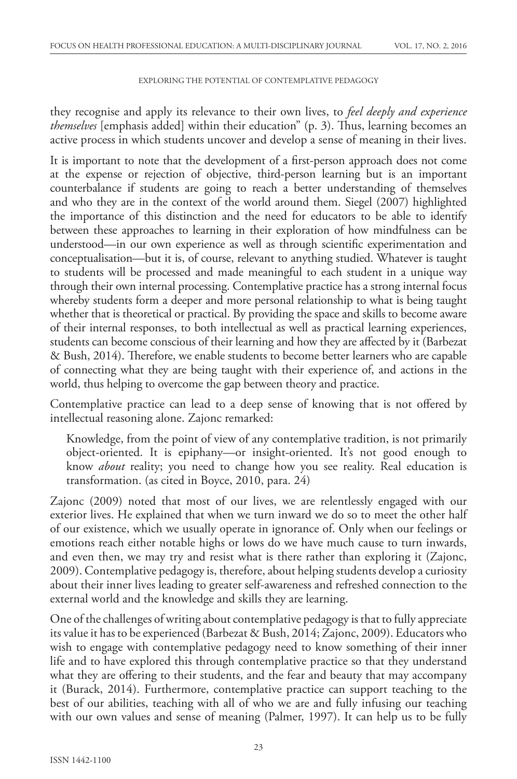they recognise and apply its relevance to their own lives, to *feel deeply and experience themselves* [emphasis added] within their education" (p. 3). Thus, learning becomes an active process in which students uncover and develop a sense of meaning in their lives.

It is important to note that the development of a first-person approach does not come at the expense or rejection of objective, third-person learning but is an important counterbalance if students are going to reach a better understanding of themselves and who they are in the context of the world around them. Siegel (2007) highlighted the importance of this distinction and the need for educators to be able to identify between these approaches to learning in their exploration of how mindfulness can be understood—in our own experience as well as through scientific experimentation and conceptualisation—but it is, of course, relevant to anything studied. Whatever is taught to students will be processed and made meaningful to each student in a unique way through their own internal processing. Contemplative practice has a strong internal focus whereby students form a deeper and more personal relationship to what is being taught whether that is theoretical or practical. By providing the space and skills to become aware of their internal responses, to both intellectual as well as practical learning experiences, students can become conscious of their learning and how they are affected by it (Barbezat & Bush, 2014). Therefore, we enable students to become better learners who are capable of connecting what they are being taught with their experience of, and actions in the world, thus helping to overcome the gap between theory and practice.

Contemplative practice can lead to a deep sense of knowing that is not offered by intellectual reasoning alone. Zajonc remarked:

Knowledge, from the point of view of any contemplative tradition, is not primarily object-oriented. It is epiphany—or insight-oriented. It's not good enough to know *about* reality; you need to change how you see reality. Real education is transformation. (as cited in Boyce, 2010, para. 24)

Zajonc (2009) noted that most of our lives, we are relentlessly engaged with our exterior lives. He explained that when we turn inward we do so to meet the other half of our existence, which we usually operate in ignorance of. Only when our feelings or emotions reach either notable highs or lows do we have much cause to turn inwards, and even then, we may try and resist what is there rather than exploring it (Zajonc, 2009). Contemplative pedagogy is, therefore, about helping students develop a curiosity about their inner lives leading to greater self-awareness and refreshed connection to the external world and the knowledge and skills they are learning.

One of the challenges of writing about contemplative pedagogy is that to fully appreciate its value it has to be experienced (Barbezat & Bush, 2014; Zajonc, 2009). Educators who wish to engage with contemplative pedagogy need to know something of their inner life and to have explored this through contemplative practice so that they understand what they are offering to their students, and the fear and beauty that may accompany it (Burack, 2014). Furthermore, contemplative practice can support teaching to the best of our abilities, teaching with all of who we are and fully infusing our teaching with our own values and sense of meaning (Palmer, 1997). It can help us to be fully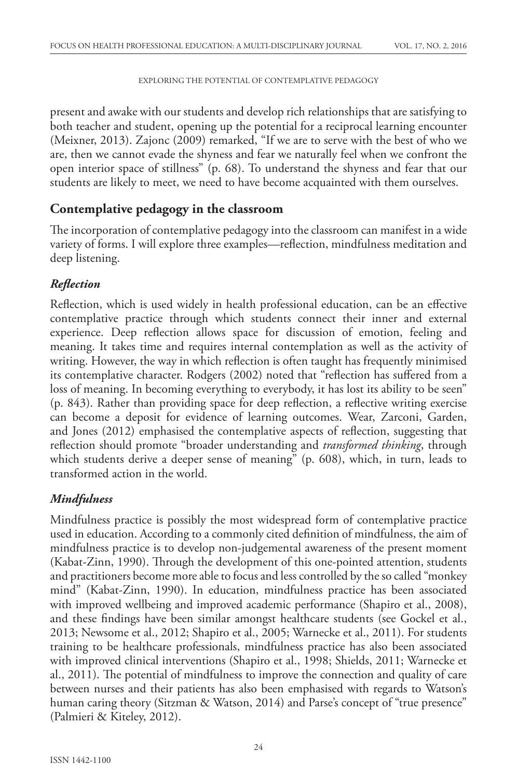present and awake with our students and develop rich relationships that are satisfying to both teacher and student, opening up the potential for a reciprocal learning encounter (Meixner, 2013). Zajonc (2009) remarked, "If we are to serve with the best of who we are, then we cannot evade the shyness and fear we naturally feel when we confront the open interior space of stillness" (p. 68). To understand the shyness and fear that our students are likely to meet, we need to have become acquainted with them ourselves.

### **Contemplative pedagogy in the classroom**

The incorporation of contemplative pedagogy into the classroom can manifest in a wide variety of forms. I will explore three examples—reflection, mindfulness meditation and deep listening.

### *Reflection*

Reflection, which is used widely in health professional education, can be an effective contemplative practice through which students connect their inner and external experience. Deep reflection allows space for discussion of emotion, feeling and meaning. It takes time and requires internal contemplation as well as the activity of writing. However, the way in which reflection is often taught has frequently minimised its contemplative character. Rodgers (2002) noted that "reflection has suffered from a loss of meaning. In becoming everything to everybody, it has lost its ability to be seen" (p. 843). Rather than providing space for deep reflection, a reflective writing exercise can become a deposit for evidence of learning outcomes. Wear, Zarconi, Garden, and Jones (2012) emphasised the contemplative aspects of reflection, suggesting that reflection should promote "broader understanding and *transformed thinking*, through which students derive a deeper sense of meaning" (p. 608), which, in turn, leads to transformed action in the world.

### *Mindfulness*

Mindfulness practice is possibly the most widespread form of contemplative practice used in education. According to a commonly cited definition of mindfulness, the aim of mindfulness practice is to develop non-judgemental awareness of the present moment (Kabat-Zinn, 1990). Through the development of this one-pointed attention, students and practitioners become more able to focus and less controlled by the so called "monkey mind" (Kabat-Zinn, 1990). In education, mindfulness practice has been associated with improved wellbeing and improved academic performance (Shapiro et al., 2008), and these findings have been similar amongst healthcare students (see Gockel et al., 2013; Newsome et al., 2012; Shapiro et al., 2005; Warnecke et al., 2011). For students training to be healthcare professionals, mindfulness practice has also been associated with improved clinical interventions (Shapiro et al., 1998; Shields, 2011; Warnecke et al., 2011). The potential of mindfulness to improve the connection and quality of care between nurses and their patients has also been emphasised with regards to Watson's human caring theory (Sitzman & Watson, 2014) and Parse's concept of "true presence" (Palmieri & Kiteley, 2012).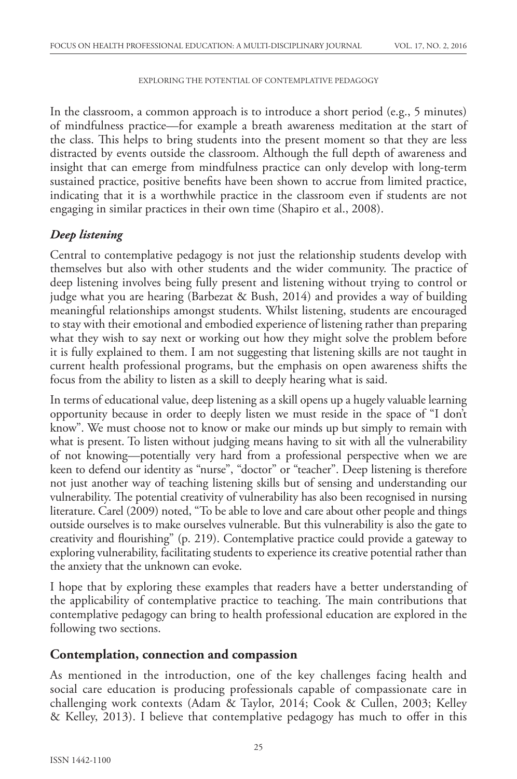In the classroom, a common approach is to introduce a short period (e.g., 5 minutes) of mindfulness practice—for example a breath awareness meditation at the start of the class. This helps to bring students into the present moment so that they are less distracted by events outside the classroom. Although the full depth of awareness and insight that can emerge from mindfulness practice can only develop with long-term sustained practice, positive benefits have been shown to accrue from limited practice, indicating that it is a worthwhile practice in the classroom even if students are not engaging in similar practices in their own time (Shapiro et al., 2008).

### *Deep listening*

Central to contemplative pedagogy is not just the relationship students develop with themselves but also with other students and the wider community. The practice of deep listening involves being fully present and listening without trying to control or judge what you are hearing (Barbezat & Bush, 2014) and provides a way of building meaningful relationships amongst students. Whilst listening, students are encouraged to stay with their emotional and embodied experience of listening rather than preparing what they wish to say next or working out how they might solve the problem before it is fully explained to them. I am not suggesting that listening skills are not taught in current health professional programs, but the emphasis on open awareness shifts the focus from the ability to listen as a skill to deeply hearing what is said.

In terms of educational value, deep listening as a skill opens up a hugely valuable learning opportunity because in order to deeply listen we must reside in the space of "I don't know". We must choose not to know or make our minds up but simply to remain with what is present. To listen without judging means having to sit with all the vulnerability of not knowing—potentially very hard from a professional perspective when we are keen to defend our identity as "nurse", "doctor" or "teacher". Deep listening is therefore not just another way of teaching listening skills but of sensing and understanding our vulnerability. The potential creativity of vulnerability has also been recognised in nursing literature. Carel (2009) noted, "To be able to love and care about other people and things outside ourselves is to make ourselves vulnerable. But this vulnerability is also the gate to creativity and flourishing" (p. 219). Contemplative practice could provide a gateway to exploring vulnerability, facilitating students to experience its creative potential rather than the anxiety that the unknown can evoke.

I hope that by exploring these examples that readers have a better understanding of the applicability of contemplative practice to teaching. The main contributions that contemplative pedagogy can bring to health professional education are explored in the following two sections.

#### **Contemplation, connection and compassion**

As mentioned in the introduction, one of the key challenges facing health and social care education is producing professionals capable of compassionate care in challenging work contexts (Adam & Taylor, 2014; Cook & Cullen, 2003; Kelley & Kelley, 2013). I believe that contemplative pedagogy has much to offer in this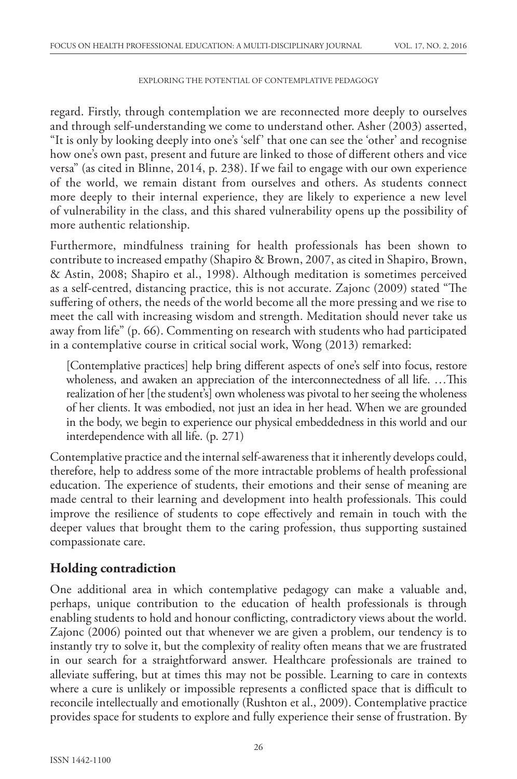regard. Firstly, through contemplation we are reconnected more deeply to ourselves and through self-understanding we come to understand other. Asher (2003) asserted, "It is only by looking deeply into one's 'self' that one can see the 'other' and recognise how one's own past, present and future are linked to those of different others and vice versa" (as cited in Blinne, 2014, p. 238). If we fail to engage with our own experience of the world, we remain distant from ourselves and others. As students connect more deeply to their internal experience, they are likely to experience a new level of vulnerability in the class, and this shared vulnerability opens up the possibility of more authentic relationship.

Furthermore, mindfulness training for health professionals has been shown to contribute to increased empathy (Shapiro & Brown, 2007, as cited in Shapiro, Brown, & Astin, 2008; Shapiro et al., 1998). Although meditation is sometimes perceived as a self-centred, distancing practice, this is not accurate. Zajonc (2009) stated "The suffering of others, the needs of the world become all the more pressing and we rise to meet the call with increasing wisdom and strength. Meditation should never take us away from life" (p. 66). Commenting on research with students who had participated in a contemplative course in critical social work, Wong (2013) remarked:

[Contemplative practices] help bring different aspects of one's self into focus, restore wholeness, and awaken an appreciation of the interconnectedness of all life. …This realization of her [the student's] own wholeness was pivotal to her seeing the wholeness of her clients. It was embodied, not just an idea in her head. When we are grounded in the body, we begin to experience our physical embeddedness in this world and our interdependence with all life. (p. 271)

Contemplative practice and the internal self-awareness that it inherently develops could, therefore, help to address some of the more intractable problems of health professional education. The experience of students, their emotions and their sense of meaning are made central to their learning and development into health professionals. This could improve the resilience of students to cope effectively and remain in touch with the deeper values that brought them to the caring profession, thus supporting sustained compassionate care.

### **Holding contradiction**

One additional area in which contemplative pedagogy can make a valuable and, perhaps, unique contribution to the education of health professionals is through enabling students to hold and honour conflicting, contradictory views about the world. Zajonc (2006) pointed out that whenever we are given a problem, our tendency is to instantly try to solve it, but the complexity of reality often means that we are frustrated in our search for a straightforward answer. Healthcare professionals are trained to alleviate suffering, but at times this may not be possible. Learning to care in contexts where a cure is unlikely or impossible represents a conflicted space that is difficult to reconcile intellectually and emotionally (Rushton et al., 2009). Contemplative practice provides space for students to explore and fully experience their sense of frustration. By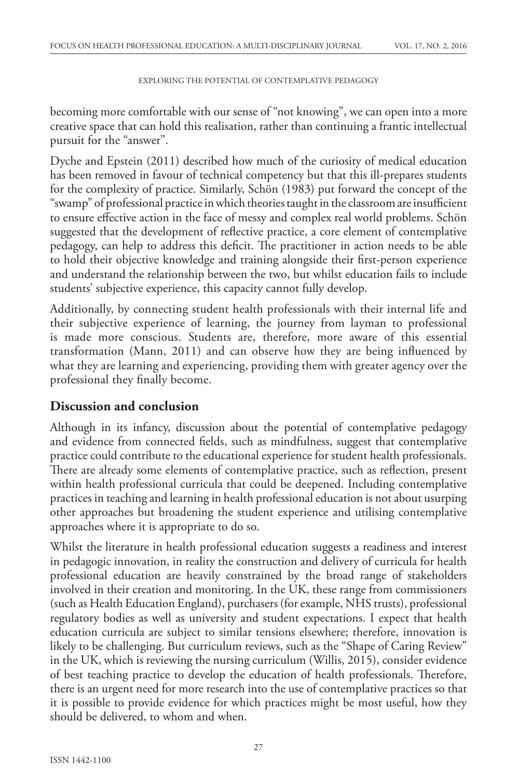becoming more comfortable with our sense of "not knowing", we can open into a more creative space that can hold this realisation, rather than continuing a frantic intellectual pursuit for the "answer".

Dyche and Epstein (2011) described how much of the curiosity of medical education has been removed in favour of technical competency but that this ill-prepares students for the complexity of practice. Similarly, Schön (1983) put forward the concept of the "swamp" of professional practice in which theories taught in the classroom are insufficient to ensure effective action in the face of messy and complex real world problems. Schön suggested that the development of reflective practice, a core element of contemplative pedagogy, can help to address this deficit. The practitioner in action needs to be able to hold their objective knowledge and training alongside their first-person experience and understand the relationship between the two, but whilst education fails to include students' subjective experience, this capacity cannot fully develop.

Additionally, by connecting student health professionals with their internal life and their subjective experience of learning, the journey from layman to professional is made more conscious. Students are, therefore, more aware of this essential transformation (Mann, 2011) and can observe how they are being influenced by what they are learning and experiencing, providing them with greater agency over the professional they finally become.

### **Discussion and conclusion**

Although in its infancy, discussion about the potential of contemplative pedagogy and evidence from connected fields, such as mindfulness, suggest that contemplative practice could contribute to the educational experience for student health professionals. There are already some elements of contemplative practice, such as reflection, present within health professional curricula that could be deepened. Including contemplative practices in teaching and learning in health professional education is not about usurping other approaches but broadening the student experience and utilising contemplative approaches where it is appropriate to do so.

Whilst the literature in health professional education suggests a readiness and interest in pedagogic innovation, in reality the construction and delivery of curricula for health professional education are heavily constrained by the broad range of stakeholders involved in their creation and monitoring. In the UK, these range from commissioners (such as Health Education England), purchasers (for example, NHS trusts), professional regulatory bodies as well as university and student expectations. I expect that health education curricula are subject to similar tensions elsewhere; therefore, innovation is likely to be challenging. But curriculum reviews, such as the "Shape of Caring Review" in the UK, which is reviewing the nursing curriculum (Willis, 2015), consider evidence of best teaching practice to develop the education of health professionals. Therefore, there is an urgent need for more research into the use of contemplative practices so that it is possible to provide evidence for which practices might be most useful, how they should be delivered, to whom and when.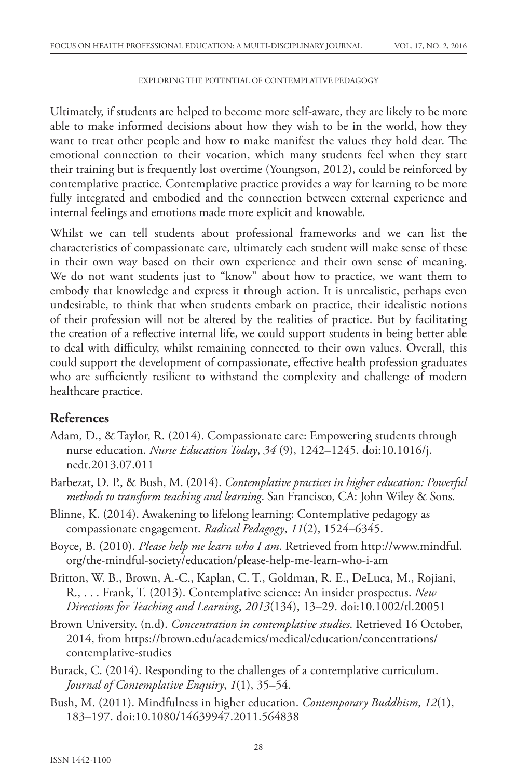Ultimately, if students are helped to become more self-aware, they are likely to be more able to make informed decisions about how they wish to be in the world, how they want to treat other people and how to make manifest the values they hold dear. The emotional connection to their vocation, which many students feel when they start their training but is frequently lost overtime (Youngson, 2012), could be reinforced by contemplative practice. Contemplative practice provides a way for learning to be more fully integrated and embodied and the connection between external experience and internal feelings and emotions made more explicit and knowable.

Whilst we can tell students about professional frameworks and we can list the characteristics of compassionate care, ultimately each student will make sense of these in their own way based on their own experience and their own sense of meaning. We do not want students just to "know" about how to practice, we want them to embody that knowledge and express it through action. It is unrealistic, perhaps even undesirable, to think that when students embark on practice, their idealistic notions of their profession will not be altered by the realities of practice. But by facilitating the creation of a reflective internal life, we could support students in being better able to deal with difficulty, whilst remaining connected to their own values. Overall, this could support the development of compassionate, effective health profession graduates who are sufficiently resilient to withstand the complexity and challenge of modern healthcare practice.

### **References**

- Adam, D., & Taylor, R. (2014). Compassionate care: Empowering students through nurse education. *Nurse Education Today*, *34* (9), 1242–1245. doi:10.1016/j. nedt.2013.07.011
- Barbezat, D. P., & Bush, M. (2014). *Contemplative practices in higher education: Powerful methods to transform teaching and learning*. San Francisco, CA: John Wiley & Sons.
- Blinne, K. (2014). Awakening to lifelong learning: Contemplative pedagogy as compassionate engagement. *Radical Pedagogy*, *11*(2), 1524–6345.
- Boyce, B. (2010). *Please help me learn who I am*. Retrieved from http://www.mindful. org/the-mindful-society/education/please-help-me-learn-who-i-am
- Britton, W. B., Brown, A.-C., Kaplan, C. T., Goldman, R. E., DeLuca, M., Rojiani, R., . . . Frank, T. (2013). Contemplative science: An insider prospectus. *New Directions for Teaching and Learning*, *2013*(134), 13–29. doi:10.1002/tl.20051
- Brown University. (n.d). *Concentration in contemplative studies*. Retrieved 16 October, 2014, from https://brown.edu/academics/medical/education/concentrations/ contemplative-studies
- Burack, C. (2014). Responding to the challenges of a contemplative curriculum. *Journal of Contemplative Enquiry*, *1*(1), 35–54.
- Bush, M. (2011). Mindfulness in higher education. *Contemporary Buddhism*, *12*(1), 183–197. doi:10.1080/14639947.2011.564838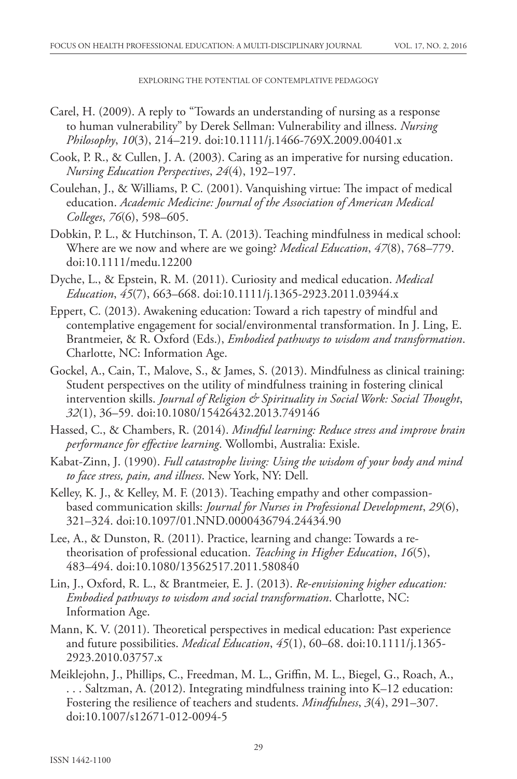- Carel, H. (2009). A reply to "Towards an understanding of nursing as a response to human vulnerability" by Derek Sellman: Vulnerability and illness. *Nursing Philosophy*, *10*(3), 214–219. doi:10.1111/j.1466-769X.2009.00401.x
- Cook, P. R., & Cullen, J. A. (2003). Caring as an imperative for nursing education. *Nursing Education Perspectives*, *24*(4), 192–197.
- Coulehan, J., & Williams, P. C. (2001). Vanquishing virtue: The impact of medical education. *Academic Medicine: Journal of the Association of American Medical Colleges*, *76*(6), 598–605.
- Dobkin, P. L., & Hutchinson, T. A. (2013). Teaching mindfulness in medical school: Where are we now and where are we going? *Medical Education*, *47*(8), 768–779. doi:10.1111/medu.12200
- Dyche, L., & Epstein, R. M. (2011). Curiosity and medical education. *Medical Education*, *45*(7), 663–668. doi:10.1111/j.1365-2923.2011.03944.x
- Eppert, C. (2013). Awakening education: Toward a rich tapestry of mindful and contemplative engagement for social/environmental transformation. In J. Ling, E. Brantmeier, & R. Oxford (Eds.), *Embodied pathways to wisdom and transformation*. Charlotte, NC: Information Age.
- Gockel, A., Cain, T., Malove, S., & James, S. (2013). Mindfulness as clinical training: Student perspectives on the utility of mindfulness training in fostering clinical intervention skills. *Journal of Religion & Spirituality in Social Work: Social Thought*, *32*(1), 36–59. doi:10.1080/15426432.2013.749146
- Hassed, C., & Chambers, R. (2014). *Mindful learning: Reduce stress and improve brain performance for effective learning*. Wollombi, Australia: Exisle.
- Kabat-Zinn, J. (1990). *Full catastrophe living: Using the wisdom of your body and mind to face stress, pain, and illness*. New York, NY: Dell.
- Kelley, K. J., & Kelley, M. F. (2013). Teaching empathy and other compassionbased communication skills: *Journal for Nurses in Professional Development*, *29*(6), 321–324. doi:10.1097/01.NND.0000436794.24434.90
- Lee, A., & Dunston, R. (2011). Practice, learning and change: Towards a retheorisation of professional education. *Teaching in Higher Education*, *16*(5), 483–494. doi:10.1080/13562517.2011.580840
- Lin, J., Oxford, R. L., & Brantmeier, E. J. (2013). *Re-envisioning higher education: Embodied pathways to wisdom and social transformation*. Charlotte, NC: Information Age.
- Mann, K. V. (2011). Theoretical perspectives in medical education: Past experience and future possibilities. *Medical Education*, *45*(1), 60–68. doi:10.1111/j.1365- 2923.2010.03757.x
- Meiklejohn, J., Phillips, C., Freedman, M. L., Griffin, M. L., Biegel, G., Roach, A., . . . Saltzman, A. (2012). Integrating mindfulness training into K–12 education: Fostering the resilience of teachers and students. *Mindfulness*, *3*(4), 291–307. doi:10.1007/s12671-012-0094-5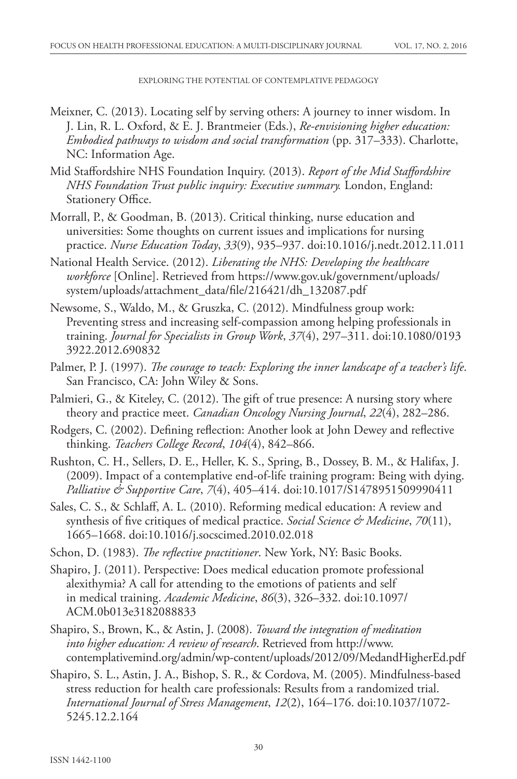- Meixner, C. (2013). Locating self by serving others: A journey to inner wisdom. In J. Lin, R. L. Oxford, & E. J. Brantmeier (Eds.), *Re-envisioning higher education: Embodied pathways to wisdom and social transformation* (pp. 317–333). Charlotte, NC: Information Age.
- Mid Staffordshire NHS Foundation Inquiry. (2013). *Report of the Mid Staffordshire NHS Foundation Trust public inquiry: Executive summary.* London, England: Stationery Office.
- Morrall, P., & Goodman, B. (2013). Critical thinking, nurse education and universities: Some thoughts on current issues and implications for nursing practice. *Nurse Education Today*, *33*(9), 935–937. doi:10.1016/j.nedt.2012.11.011
- National Health Service. (2012). *Liberating the NHS: Developing the healthcare workforce* [Online]. Retrieved from https://www.gov.uk/government/uploads/ system/uploads/attachment\_data/file/216421/dh\_132087.pdf
- Newsome, S., Waldo, M., & Gruszka, C. (2012). Mindfulness group work: Preventing stress and increasing self-compassion among helping professionals in training. *Journal for Specialists in Group Work*, *37*(4), 297–311. doi:10.1080/0193 3922.2012.690832
- Palmer, P. J. (1997). *The courage to teach: Exploring the inner landscape of a teacher's life*. San Francisco, CA: John Wiley & Sons.
- Palmieri, G., & Kiteley, C. (2012). The gift of true presence: A nursing story where theory and practice meet. *Canadian Oncology Nursing Journal*, *22*(4), 282–286.
- Rodgers, C. (2002). Defining reflection: Another look at John Dewey and reflective thinking. *Teachers College Record*, *104*(4), 842–866.
- Rushton, C. H., Sellers, D. E., Heller, K. S., Spring, B., Dossey, B. M., & Halifax, J. (2009). Impact of a contemplative end-of-life training program: Being with dying. *Palliative & Supportive Care*, *7*(4), 405–414. doi:10.1017/S1478951509990411
- Sales, C. S., & Schlaff, A. L. (2010). Reforming medical education: A review and synthesis of five critiques of medical practice. *Social Science & Medicine*, *70*(11), 1665–1668. doi:10.1016/j.socscimed.2010.02.018
- Schon, D. (1983). *The reflective practitioner*. New York, NY: Basic Books.
- Shapiro, J. (2011). Perspective: Does medical education promote professional alexithymia? A call for attending to the emotions of patients and self in medical training. *Academic Medicine*, *86*(3), 326–332. doi:10.1097/ ACM.0b013e3182088833
- Shapiro, S., Brown, K., & Astin, J. (2008). *Toward the integration of meditation into higher education: A review of research*. Retrieved from http://www. contemplativemind.org/admin/wp-content/uploads/2012/09/MedandHigherEd.pdf
- Shapiro, S. L., Astin, J. A., Bishop, S. R., & Cordova, M. (2005). Mindfulness-based stress reduction for health care professionals: Results from a randomized trial. *International Journal of Stress Management*, *12*(2), 164–176. doi:10.1037/1072- 5245.12.2.164